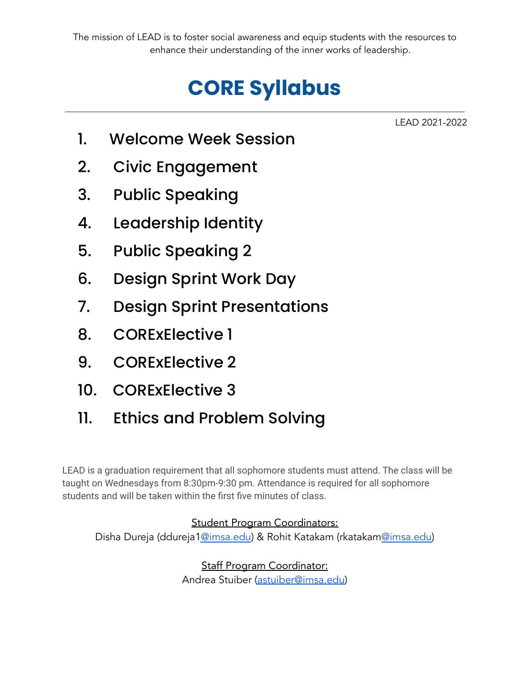## **CORE Syllabus**

LEAD 2021-2022

- 1. Welcome Week Session
- 2. Civic Engagement
- 3. Public Speaking
- 4. Leadership Identity
- 5. Public Speaking 2
- 6. Design Sprint Work Day
- 7. Design Sprint Presentations
- 8. CORExElective 1
- 9. CORExElective 2
- 10. CORExElective 3
- 11. Ethics and Problem Solving

LEAD is a graduation requirement that all sophomore students must attend. The class will be taught on Wednesdays from 8:30pm-9:30 pm. Attendance is required for all sophomore students and will be taken within the first five minutes of class.

## Student Program Coordinators:

Disha Dureja (ddureja[1@imsa.edu](mailto:bsmith@imsa.edu)) & Rohit Katakam (rkatakam[@imsa.edu\)](mailto:sappasani@imsa.edu)

Staff Program Coordinator: Andrea Stuiber [\(astuiber@imsa.edu](mailto:astuiber@imsa.edu))